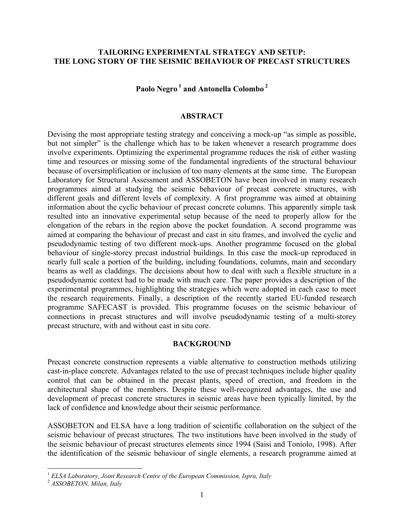## **TAILORING EXPERIMENTAL STRATEGY AND SETUP: THE LONG STORY OF THE SEISMIC BEHAVIOUR OF PRECAST STRUCTURES**

**Paolo Negro 1 and Antonella Colombo 2** 

### **ABSTRACT**

Devising the most appropriate testing strategy and conceiving a mock-up "as simple as possible, but not simpler" is the challenge which has to be taken whenever a research programme does involve experiments. Optimizing the experimental programme reduces the risk of either wasting time and resources or missing some of the fundamental ingredients of the structural behaviour because of oversimplification or inclusion of too many elements at the same time. The European Laboratory for Structural Assessment and ASSOBETON have been involved in many research programmes aimed at studying the seismic behaviour of precast concrete structures, with different goals and different levels of complexity. A first programme was aimed at obtaining information about the cyclic behaviour of precast concrete columns. This apparently simple task resulted into an innovative experimental setup because of the need to properly allow for the elongation of the rebars in the region above the pocket foundation. A second programme was aimed at comparing the behaviour of precast and cast in situ frames, and involved the cyclic and pseudodynamic testing of two different mock-ups. Another programme focused on the global behaviour of single-storey precast industrial buildings. In this case the mock-up reproduced in nearly full scale a portion of the building, including foundations, columns, main and secondary beams as well as claddings. The decisions about how to deal with such a flexible structure in a pseudodynamic context had to be made with much care. The paper provides a description of the experimental programmes, highlighting the strategies which were adopted in each case to meet the research requirements. Finally, a description of the recently started EU-funded research programme SAFECAST is provided. This programme focuses on the seismic behaviour of connections in precast structures and will involve pseudodynamic testing of a multi-storey precast structure, with and without cast in situ core.

#### **BACKGROUND**

Precast concrete construction represents a viable alternative to construction methods utilizing cast-in-place concrete. Advantages related to the use of precast techniques include higher quality control that can be obtained in the precast plants, speed of erection, and freedom in the architectural shape of the members. Despite these well-recognized advantages, the use and development of precast concrete structures in seismic areas have been typically limited, by the lack of confidence and knowledge about their seismic performance.

ASSOBETON and ELSA have a long tradition of scientific collaboration on the subject of the seismic behaviour of precast structures. The two institutions have been involved in the study of the seismic behaviour of precast structures elements since 1994 (Saisi and Toniolo, 1998). After the identification of the seismic behaviour of single elements, a research programme aimed at

 $\overline{a}$ 

<sup>1</sup> *ELSA Laboratory, Joint Research Centre of the European Commission, Ispra, Italy* 

<sup>2</sup> *ASSOBETON, Milan, Italy*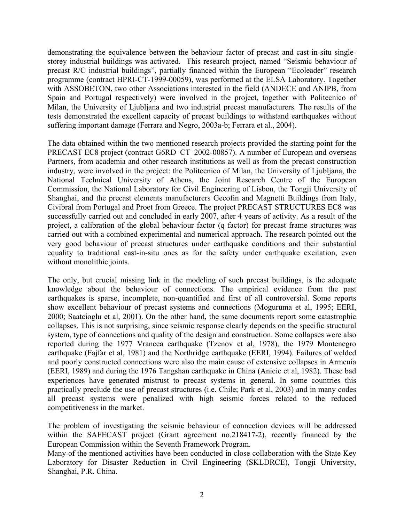demonstrating the equivalence between the behaviour factor of precast and cast-in-situ singlestorey industrial buildings was activated. This research project, named "Seismic behaviour of precast R/C industrial buildings", partially financed within the European "Ecoleader" research programme (contract HPRI-CT-1999-00059), was performed at the ELSA Laboratory. Together with ASSOBETON, two other Associations interested in the field (ANDECE and ANIPB, from Spain and Portugal respectively) were involved in the project, together with Politecnico of Milan, the University of Ljubljana and two industrial precast manufacturers. The results of the tests demonstrated the excellent capacity of precast buildings to withstand earthquakes without suffering important damage (Ferrara and Negro, 2003a-b; Ferrara et al., 2004).

The data obtained within the two mentioned research projects provided the starting point for the PRECAST EC8 project (contract G6RD–CT–2002-00857). A number of European and overseas Partners, from academia and other research institutions as well as from the precast construction industry, were involved in the project: the Politecnico of Milan, the University of Ljubljana, the National Technical University of Athens, the Joint Research Centre of the European Commission, the National Laboratory for Civil Engineering of Lisbon, the Tongji University of Shanghai, and the precast elements manufacturers Gecofin and Magnetti Buildings from Italy, Civibral from Portugal and Proet from Greece. The project PRECAST STRUCTURES EC8 was successfully carried out and concluded in early 2007, after 4 years of activity. As a result of the project, a calibration of the global behaviour factor (q factor) for precast frame structures was carried out with a combined experimental and numerical approach. The research pointed out the very good behaviour of precast structures under earthquake conditions and their substantial equality to traditional cast-in-situ ones as for the safety under earthquake excitation, even without monolithic joints.

The only, but crucial missing link in the modeling of such precast buildings, is the adequate knowledge about the behaviour of connections. The empirical evidence from the past earthquakes is sparse, incomplete, non-quantified and first of all controversial. Some reports show excellent behaviour of precast systems and connections (Moguruma et al, 1995; EERI, 2000; Saatcioglu et al, 2001). On the other hand, the same documents report some catastrophic collapses. This is not surprising, since seismic response clearly depends on the specific structural system, type of connections and quality of the design and construction. Some collapses were also reported during the 1977 Vrancea earthquake (Tzenov et al, 1978), the 1979 Montenegro earthquake (Fajfar et al, 1981) and the Northridge earthquake (EERI, 1994). Failures of welded and poorly constructed connections were also the main cause of extensive collapses in Armenia (EERI, 1989) and during the 1976 Tangshan earthquake in China (Anicic et al, 1982). These bad experiences have generated mistrust to precast systems in general. In some countries this practically preclude the use of precast structures (i.e. Chile; Park et al, 2003) and in many codes all precast systems were penalized with high seismic forces related to the reduced competitiveness in the market.

The problem of investigating the seismic behaviour of connection devices will be addressed within the SAFECAST project (Grant agreement no.218417-2), recently financed by the European Commission within the Seventh Framework Program.

Many of the mentioned activities have been conducted in close collaboration with the State Key Laboratory for Disaster Reduction in Civil Engineering (SKLDRCE), Tongji University, Shanghai, P.R. China.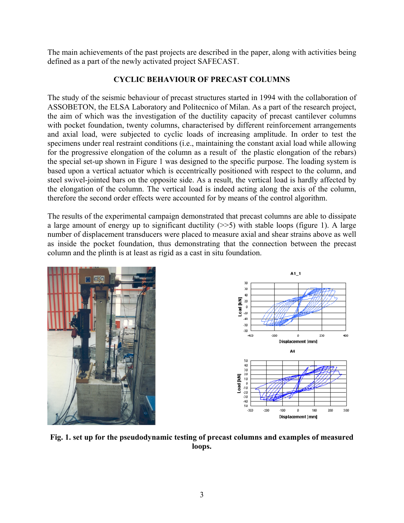The main achievements of the past projects are described in the paper, along with activities being defined as a part of the newly activated project SAFECAST.

# **CYCLIC BEHAVIOUR OF PRECAST COLUMNS**

The study of the seismic behaviour of precast structures started in 1994 with the collaboration of ASSOBETON, the ELSA Laboratory and Politecnico of Milan. As a part of the research project, the aim of which was the investigation of the ductility capacity of precast cantilever columns with pocket foundation, twenty columns, characterised by different reinforcement arrangements and axial load, were subjected to cyclic loads of increasing amplitude. In order to test the specimens under real restraint conditions (i.e., maintaining the constant axial load while allowing for the progressive elongation of the column as a result of the plastic elongation of the rebars) the special set-up shown in Figure 1 was designed to the specific purpose. The loading system is based upon a vertical actuator which is eccentrically positioned with respect to the column, and steel swivel-jointed bars on the opposite side. As a result, the vertical load is hardly affected by the elongation of the column. The vertical load is indeed acting along the axis of the column, therefore the second order effects were accounted for by means of the control algorithm.

The results of the experimental campaign demonstrated that precast columns are able to dissipate a large amount of energy up to significant ductility  $(\gg$ 5) with stable loops (figure 1). A large number of displacement transducers were placed to measure axial and shear strains above as well as inside the pocket foundation, thus demonstrating that the connection between the precast column and the plinth is at least as rigid as a cast in situ foundation.



**Fig. 1. set up for the pseudodynamic testing of precast columns and examples of measured loops.**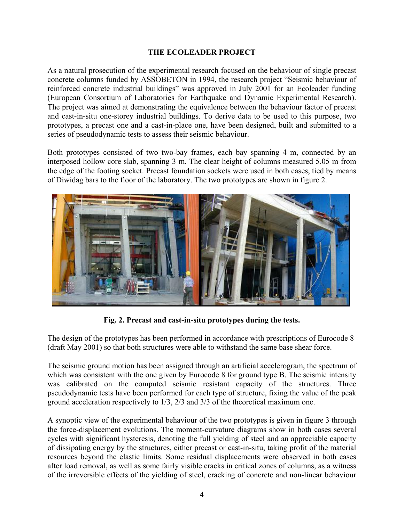## **THE ECOLEADER PROJECT**

As a natural prosecution of the experimental research focused on the behaviour of single precast concrete columns funded by ASSOBETON in 1994, the research project "Seismic behaviour of reinforced concrete industrial buildings" was approved in July 2001 for an Ecoleader funding (European Consortium of Laboratories for Earthquake and Dynamic Experimental Research). The project was aimed at demonstrating the equivalence between the behaviour factor of precast and cast-in-situ one-storey industrial buildings. To derive data to be used to this purpose, two prototypes, a precast one and a cast-in-place one, have been designed, built and submitted to a series of pseudodynamic tests to assess their seismic behaviour.

Both prototypes consisted of two two-bay frames, each bay spanning 4 m, connected by an interposed hollow core slab, spanning 3 m. The clear height of columns measured 5.05 m from the edge of the footing socket. Precast foundation sockets were used in both cases, tied by means of Diwidag bars to the floor of the laboratory. The two prototypes are shown in figure 2.



**Fig. 2. Precast and cast-in-situ prototypes during the tests.** 

The design of the prototypes has been performed in accordance with prescriptions of Eurocode 8 (draft May 2001) so that both structures were able to withstand the same base shear force.

The seismic ground motion has been assigned through an artificial accelerogram, the spectrum of which was consistent with the one given by Eurocode 8 for ground type B. The seismic intensity was calibrated on the computed seismic resistant capacity of the structures. Three pseudodynamic tests have been performed for each type of structure, fixing the value of the peak ground acceleration respectively to 1/3, 2/3 and 3/3 of the theoretical maximum one.

A synoptic view of the experimental behaviour of the two prototypes is given in figure 3 through the force-displacement evolutions. The moment-curvature diagrams show in both cases several cycles with significant hysteresis, denoting the full yielding of steel and an appreciable capacity of dissipating energy by the structures, either precast or cast-in-situ, taking profit of the material resources beyond the elastic limits. Some residual displacements were observed in both cases after load removal, as well as some fairly visible cracks in critical zones of columns, as a witness of the irreversible effects of the yielding of steel, cracking of concrete and non-linear behaviour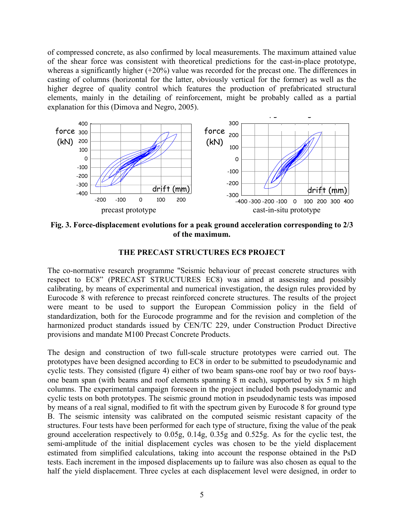of compressed concrete, as also confirmed by local measurements. The maximum attained value of the shear force was consistent with theoretical predictions for the cast-in-place prototype, whereas a significantly higher (+20%) value was recorded for the precast one. The differences in casting of columns (horizontal for the latter, obviously vertical for the former) as well as the higher degree of quality control which features the production of prefabricated structural elements, mainly in the detailing of reinforcement, might be probably called as a partial explanation for this (Dimova and Negro, 2005).



**Fig. 3. Force-displacement evolutions for a peak ground acceleration corresponding to 2/3 of the maximum.** 

### **THE PRECAST STRUCTURES EC8 PROJECT**

The co-normative research programme "Seismic behaviour of precast concrete structures with respect to EC8" (PRECAST STRUCTURES EC8) was aimed at assessing and possibly calibrating, by means of experimental and numerical investigation, the design rules provided by Eurocode 8 with reference to precast reinforced concrete structures. The results of the project were meant to be used to support the European Commission policy in the field of standardization, both for the Eurocode programme and for the revision and completion of the harmonized product standards issued by CEN/TC 229, under Construction Product Directive provisions and mandate M100 Precast Concrete Products.

The design and construction of two full-scale structure prototypes were carried out. The prototypes have been designed according to EC8 in order to be submitted to pseudodynamic and cyclic tests. They consisted (figure 4) either of two beam spans-one roof bay or two roof baysone beam span (with beams and roof elements spanning 8 m each), supported by six 5 m high columns. The experimental campaign foreseen in the project included both pseudodynamic and cyclic tests on both prototypes. The seismic ground motion in pseudodynamic tests was imposed by means of a real signal, modified to fit with the spectrum given by Eurocode 8 for ground type B. The seismic intensity was calibrated on the computed seismic resistant capacity of the structures. Four tests have been performed for each type of structure, fixing the value of the peak ground acceleration respectively to 0.05g, 0.14g, 0.35g and 0.525g. As for the cyclic test, the semi-amplitude of the initial displacement cycles was chosen to be the yield displacement estimated from simplified calculations, taking into account the response obtained in the PsD tests. Each increment in the imposed displacements up to failure was also chosen as equal to the half the yield displacement. Three cycles at each displacement level were designed, in order to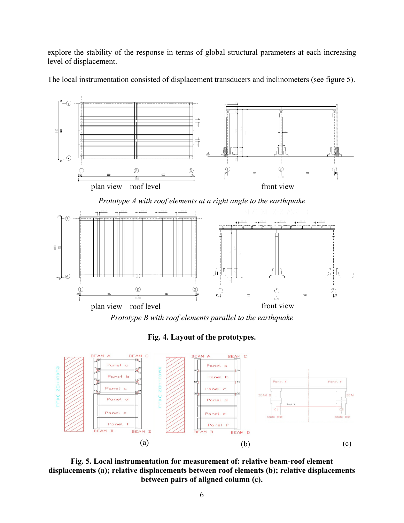explore the stability of the response in terms of global structural parameters at each increasing level of displacement.



The local instrumentation consisted of displacement transducers and inclinometers (see figure 5).

*Prototype B with roof elements parallel to the earthquake* 





**Fig. 5. Local instrumentation for measurement of: relative beam-roof element displacements (a); relative displacements between roof elements (b); relative displacements between pairs of aligned column (c).**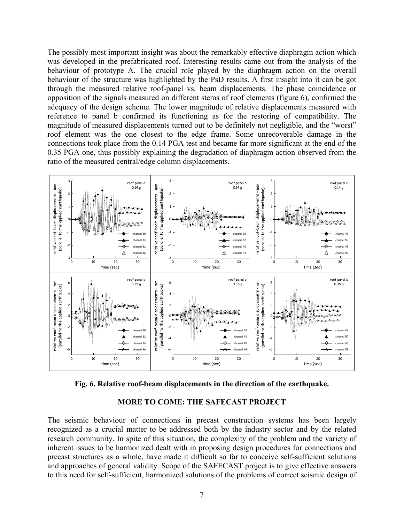The possibly most important insight was about the remarkably effective diaphragm action which was developed in the prefabricated roof. Interesting results came out from the analysis of the behaviour of prototype A. The crucial role played by the diaphragm action on the overall behaviour of the structure was highlighted by the PsD results. A first insight into it can be got through the measured relative roof-panel vs. beam displacements. The phase coincidence or opposition of the signals measured on different stems of roof elements (figure 6), confirmed the adequacy of the design scheme. The lower magnitude of relative displacements measured with reference to panel b confirmed its functioning as for the restoring of compatibility. The magnitude of measured displacements turned out to be definitely not negligible, and the "worst" roof element was the one closest to the edge frame. Some unrecoverable damage in the connections took place from the 0.14 PGA test and became far more significant at the end of the 0.35 PGA one, thus possibly explaining the degradation of diaphragm action observed from the ratio of the measured central/edge column displacements.



**Fig. 6. Relative roof-beam displacements in the direction of the earthquake.** 

#### **MORE TO COME: THE SAFECAST PROJECT**

The seismic behaviour of connections in precast construction systems has been largely recognized as a crucial matter to be addressed both by the industry sector and by the related research community. In spite of this situation, the complexity of the problem and the variety of inherent issues to be harmonized dealt with in proposing design procedures for connections and precast structures as a whole, have made it difficult so far to conceive self-sufficient solutions and approaches of general validity. Scope of the SAFECAST project is to give effective answers to this need for self-sufficient, harmonized solutions of the problems of correct seismic design of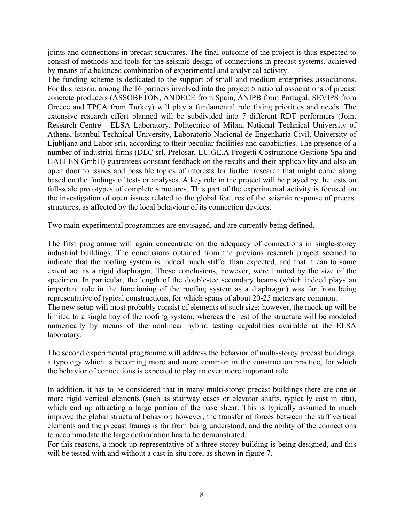joints and connections in precast structures. The final outcome of the project is thus expected to consist of methods and tools for the seismic design of connections in precast systems, achieved by means of a balanced combination of experimental and analytical activity.

The funding scheme is dedicated to the support of small and medium enterprises associations. For this reason, among the 16 partners involved into the project 5 national associations of precast concrete producers (ASSOBETON, ANDECE from Spain, ANIPB from Portugal, SEVIPS from Greece and TPCA from Turkey) will play a fundamental role fixing priorities and needs. The extensive research effort planned will be subdivided into 7 different RDT performers (Joint Research Centre - ELSA Laboratory, Politecnico of Milan, National Technical University of Athens, Istanbul Technical University, Laboratorio Nacional de Engenharia Civil, University of Ljubljana and Labor srl), according to their peculiar facilities and capabilities. The presence of a number of industrial firms (DLC srl, Prelosar, LU.GE.A Progetti Costruzione Gestione Spa and HALFEN GmbH) guarantees constant feedback on the results and their applicability and also an open door to issues and possible topics of interests for further research that might come along based on the findings of tests or analyses. A key role in the project will be played by the tests on full-scale prototypes of complete structures. This part of the experimental activity is focused on the investigation of open issues related to the global features of the seismic response of precast structures, as affected by the local behaviour of its connection devices.

Two main experimental programmes are envisaged, and are currently being defined.

The first programme will again concentrate on the adequacy of connections in single-storey industrial buildings. The conclusions obtained from the previous research project seemed to indicate that the roofing system is indeed much stiffer than expected, and that it can to some extent act as a rigid diaphragm. Those conclusions, however, were limited by the size of the specimen. In particular, the length of the double-tee secondary beams (which indeed plays an important role in the functioning of the roofing system as a diaphragm) was far from being representative of typical constructions, for which spans of about 20-25 meters are common. The new setup will most probably consist of elements of such size; however, the mock up will be limited to a single bay of the roofing system, whereas the rest of the structure will be modeled numerically by means of the nonlinear hybrid testing capabilities available at the ELSA laboratory.

The second experimental programme will address the behavior of multi-storey precast buildings, a typology which is becoming more and more common in the construction practice, for which the behavior of connections is expected to play an even more important role.

In addition, it has to be considered that in many multi-storey precast buildings there are one or more rigid vertical elements (such as stairway cases or elevator shafts, typically cast in situ), which end up attracting a large portion of the base shear. This is typically assumed to much improve the global structural behavior; however, the transfer of forces between the stiff vertical elements and the precast frames is far from being understood, and the ability of the connections to accommodate the large deformation has to be demonstrated.

For this reasons, a mock up representative of a three-storey building is being designed, and this will be tested with and without a cast in situ core, as shown in figure 7.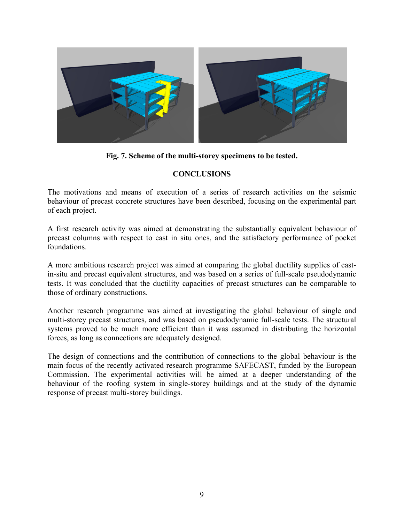

**Fig. 7. Scheme of the multi-storey specimens to be tested.** 

# **CONCLUSIONS**

The motivations and means of execution of a series of research activities on the seismic behaviour of precast concrete structures have been described, focusing on the experimental part of each project.

A first research activity was aimed at demonstrating the substantially equivalent behaviour of precast columns with respect to cast in situ ones, and the satisfactory performance of pocket foundations.

A more ambitious research project was aimed at comparing the global ductility supplies of castin-situ and precast equivalent structures, and was based on a series of full-scale pseudodynamic tests. It was concluded that the ductility capacities of precast structures can be comparable to those of ordinary constructions.

Another research programme was aimed at investigating the global behaviour of single and multi-storey precast structures, and was based on pseudodynamic full-scale tests. The structural systems proved to be much more efficient than it was assumed in distributing the horizontal forces, as long as connections are adequately designed.

The design of connections and the contribution of connections to the global behaviour is the main focus of the recently activated research programme SAFECAST, funded by the European Commission. The experimental activities will be aimed at a deeper understanding of the behaviour of the roofing system in single-storey buildings and at the study of the dynamic response of precast multi-storey buildings.